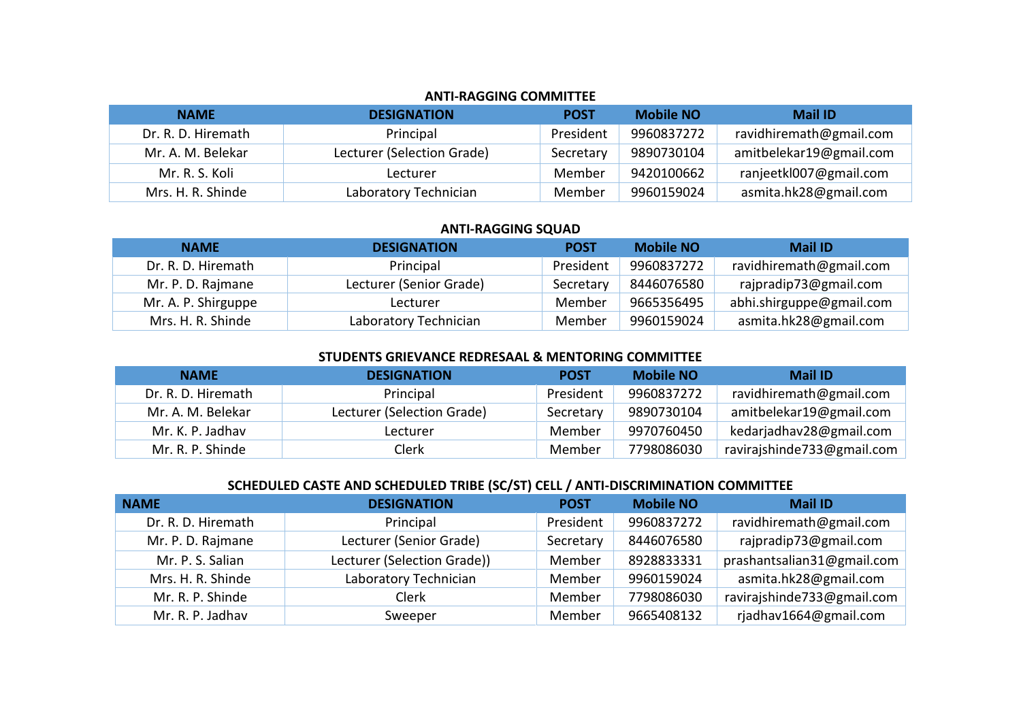#### **ANTI-RAGGING COMMITTEE**

| <b>NAME</b>        | <b>DESIGNATION</b>         | <b>POST</b> | <b>Mobile NO</b> | <b>Mail ID</b>          |
|--------------------|----------------------------|-------------|------------------|-------------------------|
| Dr. R. D. Hiremath | Principal                  | President   | 9960837272       | ravidhiremath@gmail.com |
| Mr. A. M. Belekar  | Lecturer (Selection Grade) | Secretary   | 9890730104       | amitbelekar19@gmail.com |
| Mr. R. S. Koli     | Lecturer                   | Member      | 9420100662       | ranjeetkl007@gmail.com  |
| Mrs. H. R. Shinde  | Laboratory Technician      | Member      | 9960159024       | asmita.hk28@gmail.com   |

#### **ANTI-RAGGING SQUAD**

| <b>NAME</b>         | <b>DESIGNATION</b>      | <b>POST</b> | <b>Mobile NO</b> | <b>Mail ID</b>           |
|---------------------|-------------------------|-------------|------------------|--------------------------|
| Dr. R. D. Hiremath  | Principal               | President   | 9960837272       | ravidhiremath@gmail.com  |
| Mr. P. D. Rajmane   | Lecturer (Senior Grade) | Secretary   | 8446076580       | rajpradip73@gmail.com    |
| Mr. A. P. Shirguppe | Lecturer                | Member      | 9665356495       | abhi.shirguppe@gmail.com |
| Mrs. H. R. Shinde   | Laboratory Technician   | Member      | 9960159024       | asmita.hk28@gmail.com    |

### **STUDENTS GRIEVANCE REDRESAAL & MENTORING COMMITTEE**

| <b>NAME</b>        | <b>DESIGNATION</b>         | <b>POST</b> | <b>Mobile NO</b> | <b>Mail ID</b>             |
|--------------------|----------------------------|-------------|------------------|----------------------------|
| Dr. R. D. Hiremath | Principal                  | President   | 9960837272       | ravidhiremath@gmail.com    |
| Mr. A. M. Belekar  | Lecturer (Selection Grade) | Secretary   | 9890730104       | amitbelekar19@gmail.com    |
| Mr. K. P. Jadhav   | Lecturer                   | Member      | 9970760450       | kedarjadhav28@gmail.com    |
| Mr. R. P. Shinde   | Clerk                      | Member      | 7798086030       | ravirajshinde733@gmail.com |

# **SCHEDULED CASTE AND SCHEDULED TRIBE (SC/ST) CELL / ANTI-DISCRIMINATION COMMITTEE**

| <b>NAME</b>        | <b>DESIGNATION</b>          | <b>POST</b> | <b>Mobile NO</b> | <b>Mail ID</b>             |
|--------------------|-----------------------------|-------------|------------------|----------------------------|
| Dr. R. D. Hiremath | Principal                   | President   | 9960837272       | ravidhiremath@gmail.com    |
| Mr. P. D. Rajmane  | Lecturer (Senior Grade)     | Secretary   | 8446076580       | rajpradip73@gmail.com      |
| Mr. P. S. Salian   | Lecturer (Selection Grade)) | Member      | 8928833331       | prashantsalian31@gmail.com |
| Mrs. H. R. Shinde  | Laboratory Technician       | Member      | 9960159024       | asmita.hk28@gmail.com      |
| Mr. R. P. Shinde   | Clerk                       | Member      | 7798086030       | ravirajshinde733@gmail.com |
| Mr. R. P. Jadhav   | Sweeper                     | Member      | 9665408132       | rjadhav1664@gmail.com      |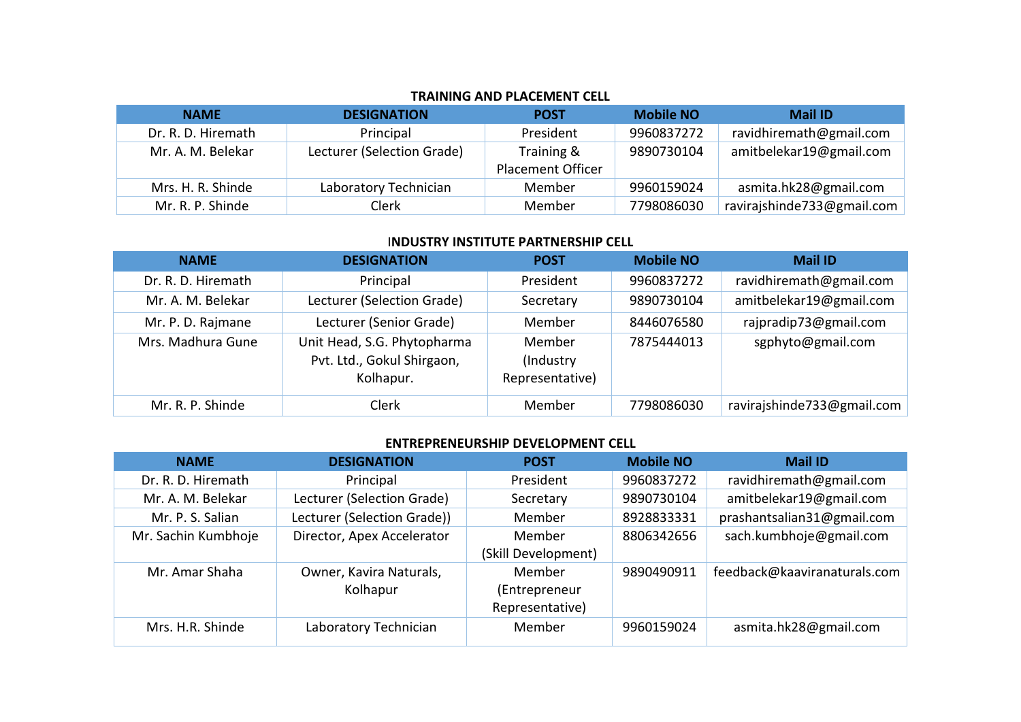# **TRAINING AND PLACEMENT CELL**

| <b>NAME</b>        | <b>DESIGNATION</b>         | <b>POST</b>                            | <b>Mobile NO</b> | <b>Mail ID</b>             |
|--------------------|----------------------------|----------------------------------------|------------------|----------------------------|
| Dr. R. D. Hiremath | Principal                  | President                              | 9960837272       | ravidhiremath@gmail.com    |
| Mr. A. M. Belekar  | Lecturer (Selection Grade) | Training &<br><b>Placement Officer</b> | 9890730104       | amitbelekar19@gmail.com    |
| Mrs. H. R. Shinde  | Laboratory Technician      | Member                                 | 9960159024       | asmita.hk28@gmail.com      |
| Mr. R. P. Shinde   | Clerk                      | Member                                 | 7798086030       | ravirajshinde733@gmail.com |

### I**NDUSTRY INSTITUTE PARTNERSHIP CELL**

| <b>NAME</b>        | <b>DESIGNATION</b>                                                     | <b>POST</b>                             | <b>Mobile NO</b> | <b>Mail ID</b>             |
|--------------------|------------------------------------------------------------------------|-----------------------------------------|------------------|----------------------------|
| Dr. R. D. Hiremath | Principal                                                              | President                               | 9960837272       | ravidhiremath@gmail.com    |
| Mr. A. M. Belekar  | Lecturer (Selection Grade)                                             | Secretary                               | 9890730104       | amitbelekar19@gmail.com    |
| Mr. P. D. Rajmane  | Lecturer (Senior Grade)                                                | Member                                  | 8446076580       | rajpradip73@gmail.com      |
| Mrs. Madhura Gune  | Unit Head, S.G. Phytopharma<br>Pvt. Ltd., Gokul Shirgaon,<br>Kolhapur. | Member<br>(Industry)<br>Representative) | 7875444013       | sgphyto@gmail.com          |
| Mr. R. P. Shinde   | Clerk                                                                  | Member                                  | 7798086030       | ravirajshinde733@gmail.com |

### **ENTREPRENEURSHIP DEVELOPMENT CELL**

| <b>NAME</b>         | <b>DESIGNATION</b>                  | <b>POST</b>                                | <b>Mobile NO</b> | <b>Mail ID</b>               |
|---------------------|-------------------------------------|--------------------------------------------|------------------|------------------------------|
| Dr. R. D. Hiremath  | Principal                           | President                                  | 9960837272       | ravidhiremath@gmail.com      |
| Mr. A. M. Belekar   | Lecturer (Selection Grade)          | Secretary                                  | 9890730104       | amitbelekar19@gmail.com      |
| Mr. P. S. Salian    | Lecturer (Selection Grade))         | Member                                     | 8928833331       | prashantsalian31@gmail.com   |
| Mr. Sachin Kumbhoje | Director, Apex Accelerator          | Member<br>(Skill Development)              | 8806342656       | sach.kumbhoje@gmail.com      |
| Mr. Amar Shaha      | Owner, Kavira Naturals,<br>Kolhapur | Member<br>(Entrepreneur<br>Representative) | 9890490911       | feedback@kaaviranaturals.com |
| Mrs. H.R. Shinde    | Laboratory Technician               | Member                                     | 9960159024       | asmita.hk28@gmail.com        |